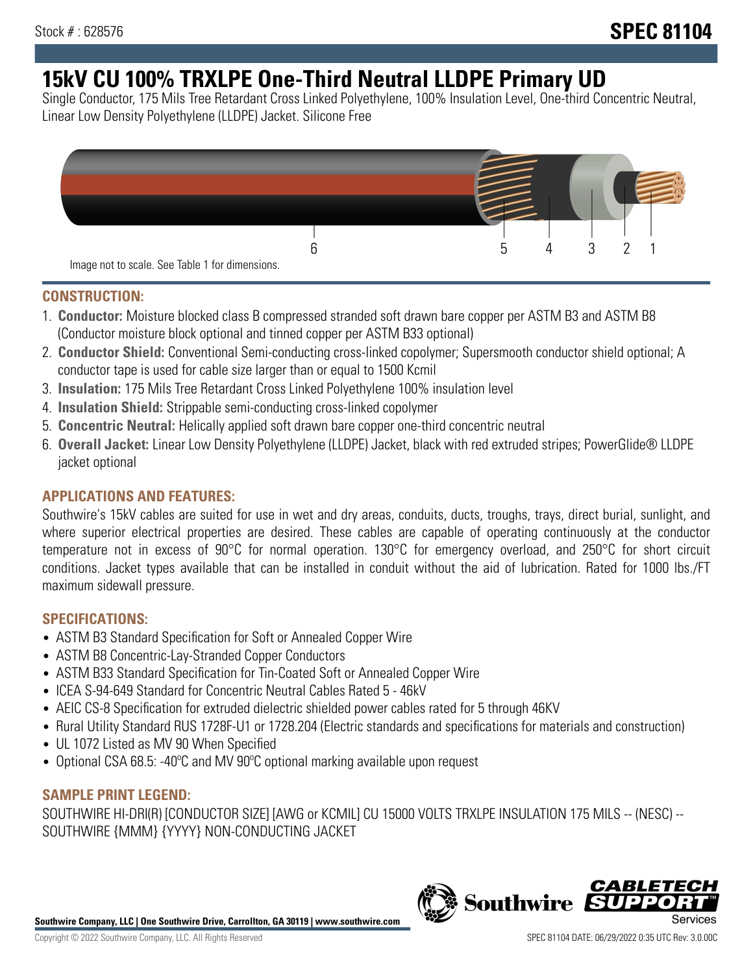# **15kV CU 100% TRXLPE One-Third Neutral LLDPE Primary UD**

Single Conductor, 175 Mils Tree Retardant Cross Linked Polyethylene, 100% Insulation Level, One-third Concentric Neutral, Linear Low Density Polyethylene (LLDPE) Jacket. Silicone Free



#### **CONSTRUCTION:**

- 1. **Conductor:** Moisture blocked class B compressed stranded soft drawn bare copper per ASTM B3 and ASTM B8 (Conductor moisture block optional and tinned copper per ASTM B33 optional)
- 2. **Conductor Shield:** Conventional Semi-conducting cross-linked copolymer; Supersmooth conductor shield optional; A conductor tape is used for cable size larger than or equal to 1500 Kcmil
- 3. **Insulation:** 175 Mils Tree Retardant Cross Linked Polyethylene 100% insulation level
- 4. **Insulation Shield:** Strippable semi-conducting cross-linked copolymer
- 5. **Concentric Neutral:** Helically applied soft drawn bare copper one-third concentric neutral
- 6. **Overall Jacket:** Linear Low Density Polyethylene (LLDPE) Jacket, black with red extruded stripes; PowerGlide® LLDPE jacket optional

#### **APPLICATIONS AND FEATURES:**

Southwire's 15kV cables are suited for use in wet and dry areas, conduits, ducts, troughs, trays, direct burial, sunlight, and where superior electrical properties are desired. These cables are capable of operating continuously at the conductor temperature not in excess of 90°C for normal operation. 130°C for emergency overload, and 250°C for short circuit conditions. Jacket types available that can be installed in conduit without the aid of lubrication. Rated for 1000 lbs./FT maximum sidewall pressure.

#### **SPECIFICATIONS:**

- ASTM B3 Standard Specification for Soft or Annealed Copper Wire
- ASTM B8 Concentric-Lay-Stranded Copper Conductors
- ASTM B33 Standard Specification for Tin-Coated Soft or Annealed Copper Wire
- ICEA S-94-649 Standard for Concentric Neutral Cables Rated 5 46kV
- AEIC CS-8 Specification for extruded dielectric shielded power cables rated for 5 through 46KV
- Rural Utility Standard RUS 1728F-U1 or 1728.204 (Electric standards and specifications for materials and construction)
- UL 1072 Listed as MV 90 When Specified
- Optional CSA 68.5: -40ºC and MV 90ºC optional marking available upon request

### **SAMPLE PRINT LEGEND:**

SOUTHWIRE HI-DRI(R) [CONDUCTOR SIZE] [AWG or KCMIL] CU 15000 VOLTS TRXLPE INSULATION 175 MILS -- (NESC) -- SOUTHWIRE {MMM} {YYYY} NON-CONDUCTING JACKET

**Southwire Company, LLC | One Southwire Drive, Carrollton, GA 30119 | www.southwire.com**

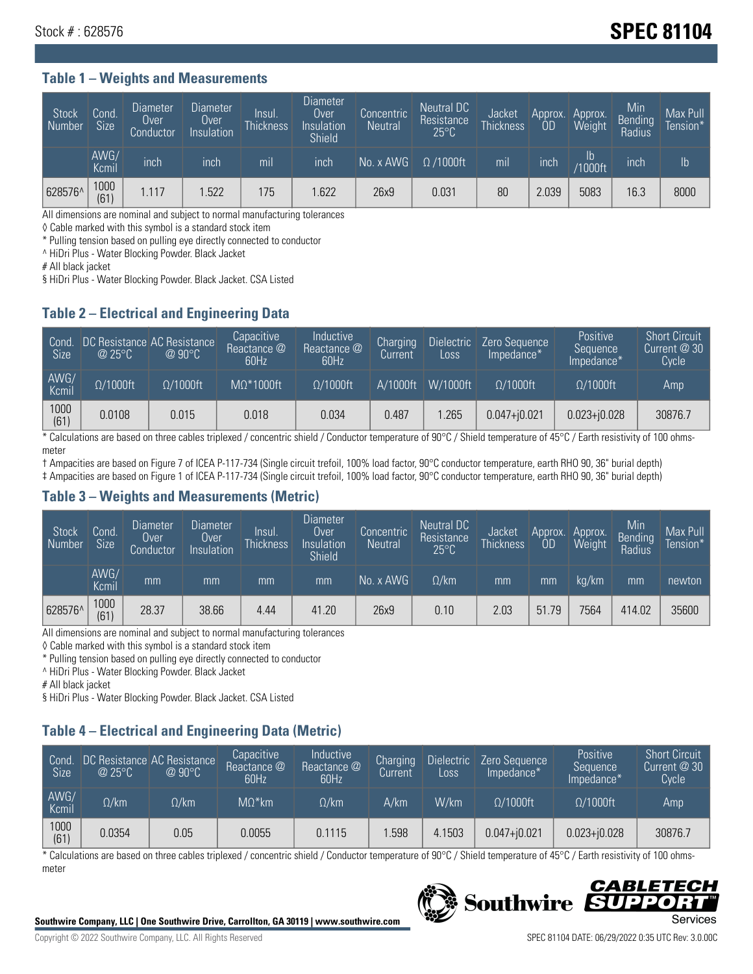## Stock # : 628576 **SPEC 81104**

#### **Table 1 – Weights and Measurements**

| Stock<br>Number | Cond.<br><b>Size</b> | <b>Diameter</b><br>Over<br>Conductor | <b>Diameter</b><br>Over<br>Insulation | Insul.<br><b>Thickness</b> | <b>Diameter</b><br>Over<br>Insulation<br><b>Shield</b> | Concentric<br><b>Neutral</b> | Neutral DC<br>Resistance<br>$25^{\circ}C$ | Jacket<br><b>Thickness</b> | Approx.<br>0D | Approx.<br>Weight | Min<br><b>Bending</b><br>Radius | Max Pull<br>Tension*' |
|-----------------|----------------------|--------------------------------------|---------------------------------------|----------------------------|--------------------------------------------------------|------------------------------|-------------------------------------------|----------------------------|---------------|-------------------|---------------------------------|-----------------------|
|                 | AWG/<br>Kcmil        | inch                                 | inch                                  | m <sub>l</sub>             | inch                                                   | No. x AWG                    | $\Omega$ /1000ft                          | mil                        | inch          | Ib<br>/1000ft     | inch                            | $\mathsf{lb}$         |
| 628576^         | 1000<br>(61)         | .117                                 | .522                                  | 175                        | .622                                                   | 26x9                         | 0.031                                     | 80                         | 2.039         | 5083              | 16.3                            | 8000                  |

All dimensions are nominal and subject to normal manufacturing tolerances

◊ Cable marked with this symbol is a standard stock item

\* Pulling tension based on pulling eye directly connected to conductor

^ HiDri Plus - Water Blocking Powder. Black Jacket

# All black jacket

§ HiDri Plus - Water Blocking Powder. Black Jacket. CSA Listed

#### **Table 2 – Electrical and Engineering Data**

| Cond.<br>Size | $\omega$ 25°C    | DC Resistance AC Resistance<br>$@90^{\circ}C$ | Capacitive<br>Reactance @<br>60Hz | Inductive<br>Reactance @<br>60Hz | Charging<br>Current | Dielectric<br>Loss | Zero Sequence<br>Impedance* | Positive<br>Sequence<br>Impedance* | <b>Short Circuit</b><br>Current $@30"$<br>Cycle |
|---------------|------------------|-----------------------------------------------|-----------------------------------|----------------------------------|---------------------|--------------------|-----------------------------|------------------------------------|-------------------------------------------------|
| AWG/<br>Kcmil | $\Omega/1000$ ft | $\Omega/1000$ ft                              | $M\Omega^*1000$ ft                | $\Omega/1000$ ft                 | A/1000ft            | $W/1000$ ft        | $\Omega$ /1000ft            | $\Omega/1000$ ft                   | Amp                                             |
| 1000<br>(61)  | 0.0108           | 0.015                                         | 0.018                             | 0.034                            | 0.487               | .265               | $0.047 + j0.021$            | $0.023 + 0.028$                    | 30876.7                                         |

\* Calculations are based on three cables triplexed / concentric shield / Conductor temperature of 90°C / Shield temperature of 45°C / Earth resistivity of 100 ohmsmeter

† Ampacities are based on Figure 7 of ICEA P-117-734 (Single circuit trefoil, 100% load factor, 90°C conductor temperature, earth RHO 90, 36" burial depth)

‡ Ampacities are based on Figure 1 of ICEA P-117-734 (Single circuit trefoil, 100% load factor, 90°C conductor temperature, earth RHO 90, 36" burial depth)

#### **Table 3 – Weights and Measurements (Metric)**

| <b>Stock</b><br>Number | Cond<br><b>Size</b> | <b>Diameter</b><br>Over<br>Conductor | <b>Diameter</b><br>Over<br>Insulation | <b>Insul</b><br><b>Thickness</b> | Diameter<br>Over<br>Insulation<br><b>Shield</b> | Concentric<br><b>Neutral</b> | Neutral DC<br>Resistance<br>$25^{\circ}C$ | Jacket<br><b>Thickness</b> | Approx.<br>OD | Approx.<br>Weight | Min<br><b>Bending</b><br>Radius | Max Pull<br>Tension* |
|------------------------|---------------------|--------------------------------------|---------------------------------------|----------------------------------|-------------------------------------------------|------------------------------|-------------------------------------------|----------------------------|---------------|-------------------|---------------------------------|----------------------|
|                        | AWG/<br>Kcmil       | mm                                   | mm                                    | mm                               | mm                                              | No. x AWG                    | $\Omega$ /km                              | mm                         | mm            | ka/km             | mm                              | newton               |
| 628576^                | 1000<br>(61)        | 28.37                                | 38.66                                 | 4.44                             | 41.20                                           | 26x9                         | 0.10                                      | 2.03                       | 51.79         | 7564              | 414.02                          | 35600                |

All dimensions are nominal and subject to normal manufacturing tolerances

◊ Cable marked with this symbol is a standard stock item

\* Pulling tension based on pulling eye directly connected to conductor

^ HiDri Plus - Water Blocking Powder. Black Jacket

# All black jacket

§ HiDri Plus - Water Blocking Powder. Black Jacket. CSA Listed

### **Table 4 – Electrical and Engineering Data (Metric)**

| Cond<br><b>Size</b> | @25°C        | DC Resistance AC Resistance<br>$@90^{\circ}C$ | Capacitive<br>Reactance @<br>60Hz | <b>Inductive</b><br>Reactance @<br>60Hz | Charging<br>Current | <b>Dielectric</b><br>Loss | Zero Sequence<br>Impedance* | <b>Positive</b><br>Sequence<br>Impedance* | <b>Short Circuit</b><br>Current @ 30<br><b>Cycle</b> |
|---------------------|--------------|-----------------------------------------------|-----------------------------------|-----------------------------------------|---------------------|---------------------------|-----------------------------|-------------------------------------------|------------------------------------------------------|
| AWG/<br>Kcmil       | $\Omega$ /km | $\Omega / \mathrm{km}$                        | $M\Omega^*$ km                    | $\Omega$ /km                            | A/km                | W/km                      | $O/1000$ ft                 | $\Omega/1000$ ft                          | Amp                                                  |
| 1000<br>(61)        | 0.0354       | 0.05                                          | 0.0055                            | 0.1115                                  | .598                | 4.1503                    | $0.047 + 0.021$             | $0.023 + j0.028$                          | 30876.7                                              |

\* Calculations are based on three cables triplexed / concentric shield / Conductor temperature of 90°C / Shield temperature of 45°C / Earth resistivity of 100 ohmsmeter



#### *CABLETECH* **Southwire** UPPO